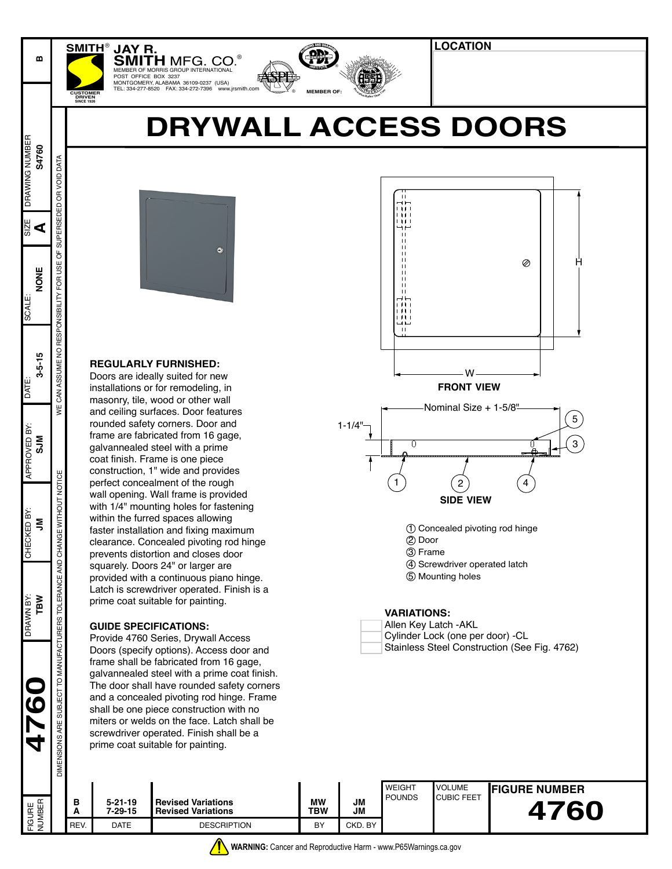# **DRYWALL ACCESS DOORS**

 $\frac{1}{2}$ 

**<sup>E</sup> <sup>N</sup> <sup>G</sup>I<sup>N</sup> <sup>E</sup><sup>E</sup> <sup>R</sup>I<sup>N</sup> P**

**Gfre***n<b><i><b>fc<b><i><b>fc<b><i>f<b><i>c<i><b>f<b><i>c<b><i>f<b><i>f<i><b><i>f<i><i><b>f* 

**MEMBER OF:**

**CANE <sup>I</sup>NSTITUT<sup>E</sup>** ®

ASPE®



**SMITH** MFG. CO.<sup>®</sup> MEMBER OF MORRIS GROUP INTERNATIONAL POST OFFICE BOX 3237 MONTGOMERY, ALABAMA 36109-0237 (USA) TEL: 334-277-8520 FAX: 334-272-7396 www.jrsmith.com **CUSTOMER**

#### **REGULARLY FURNISHED:**

**JAY R.**

DRAWN BY: CHECKED BY: APPROVED BY: SCALE: SIZE

APPROVED BY:  $rac{5}{2}$ 

CHECKED BY:  $\tilde{z}$ 

TBW DRAWN BY:

**D97** 

 $PAT$ 

SCALE:

**4760 THEOKED BY:** THEOKED BY: THANG **THEOKED BY:** THANG THEORY **SHOW AND THEORY CONTACT THEORY CONTACT THEORY CONTACT THEORY CONTACT THEORY CONTACT THEORY CONTACT THEORY CONTACT THEORY CONTACT THEORY CONTACT THEORY CONT** 

31Z

DRAWING NUMBER

DRAWING NUMBER S4760

**B**

**DRIVEN SINCE 1926**

**SMITH**®

#### **GUIDE SPECIFICATIONS:**



**LOCATION**

| Allen Key Latch - AKL                        |
|----------------------------------------------|
| Cylinder Lock (one per door) -CL             |
| Stainless Steel Construction (See Fig. 4762) |

|                             |                                     | REV.                                                                                                                                                                                                                                                                                                                                                                                                     | <b>DATE</b>              | <b>DESCRIPTION</b>                                                                                                                                                                                                                                            | BY                                                                                                                                                                                                                                                                                                                                         | CKD. BY  |                                                                                                                                          |                         |                      |      |  |
|-----------------------------|-------------------------------------|----------------------------------------------------------------------------------------------------------------------------------------------------------------------------------------------------------------------------------------------------------------------------------------------------------------------------------------------------------------------------------------------------------|--------------------------|---------------------------------------------------------------------------------------------------------------------------------------------------------------------------------------------------------------------------------------------------------------|--------------------------------------------------------------------------------------------------------------------------------------------------------------------------------------------------------------------------------------------------------------------------------------------------------------------------------------------|----------|------------------------------------------------------------------------------------------------------------------------------------------|-------------------------|----------------------|------|--|
| FIGURE<br>NUMBER            |                                     | в<br>A                                                                                                                                                                                                                                                                                                                                                                                                   | 5-21-19<br>$7 - 29 - 15$ | <b>Revised Variations</b><br><b>Revised Variations</b>                                                                                                                                                                                                        | <b>MW</b><br><b>TBW</b>                                                                                                                                                                                                                                                                                                                    | JM<br>JМ | <b>POUNDS</b>                                                                                                                            | <b>CUBIC FEET</b>       |                      | 4760 |  |
|                             | SUBJECT TO MANUFA<br>DIMENSIONS ARE | Doors (specify options). Access door and<br>frame shall be fabricated from 16 gage,<br>galvannealed steel with a prime coat finish.<br>The door shall have rounded safety corners<br>and a concealed pivoting rod hinge. Frame<br>shall be one piece construction with no<br>miters or welds on the face. Latch shall be<br>screwdriver operated. Finish shall be a<br>prime coat suitable for painting. |                          |                                                                                                                                                                                                                                                               |                                                                                                                                                                                                                                                                                                                                            |          | <b>WEIGHT</b>                                                                                                                            | <b>VOLUME</b>           | <b>FIGURE NUMBER</b> |      |  |
| TBW<br>ם<br>א               | AND<br><b>TOLERANCE</b><br>CTURERS  |                                                                                                                                                                                                                                                                                                                                                                                                          |                          | squarely. Doors 24" or larger are<br>provided with a continuous piano hinge.<br>Latch is screwdriver operated. Finish is a<br>prime coat suitable for painting.<br><b>GUIDE SPECIFICATIONS:</b><br>Provide 4760 Series, Drywall Access                        | Nominal Size + 1-5/8"<br>$\mathbf 5$<br>$1 - 1/4$ "<br>3<br>0<br>1<br>2<br><b>SIDE VIEW</b><br>1) Concealed pivoting rod hinge<br>2 Door<br>3 Frame<br>4 Screwdriver operated latch<br>5 Mounting holes<br><b>VARIATIONS:</b><br>Allen Key Latch - AKL<br>Cylinder Lock (one per door) -CL<br>Stainless Steel Construction (See Fig. 4762) |          |                                                                                                                                          |                         |                      |      |  |
| NEU DT.<br>$\tilde{z}$      | <b>NITHOUT</b><br>CHANGE            |                                                                                                                                                                                                                                                                                                                                                                                                          |                          | wall opening. Wall frame is provided<br>with 1/4" mounting holes for fastening<br>within the furred spaces allowing<br>faster installation and fixing maximum<br>clearance. Concealed pivoting rod hinge<br>prevents distortion and closes door               |                                                                                                                                                                                                                                                                                                                                            |          |                                                                                                                                          |                         |                      |      |  |
| APPROVED BY:<br><b>NICS</b> | ¥<br><b>NOTICE</b>                  |                                                                                                                                                                                                                                                                                                                                                                                                          |                          | and ceiling surfaces. Door features<br>rounded safety corners. Door and<br>frame are fabricated from 16 gage,<br>galvannealed steel with a prime<br>coat finish. Frame is one piece<br>construction, 1" wide and provides<br>perfect concealment of the rough |                                                                                                                                                                                                                                                                                                                                            |          |                                                                                                                                          |                         |                      |      |  |
| $3 - 5 - 15$                | CAN ASSUME NO                       | <b>REGULARLY FURNISHED:</b><br>Doors are ideally suited for new<br>installations or for remodeling, in<br>masonry, tile, wood or other wall                                                                                                                                                                                                                                                              |                          |                                                                                                                                                                                                                                                               |                                                                                                                                                                                                                                                                                                                                            |          | $\blacksquare$                                                                                                                           | w.<br><b>FRONT VIEW</b> |                      |      |  |
| NONE                        | p<br>FOR USE<br>RESPONSIBILITY      |                                                                                                                                                                                                                                                                                                                                                                                                          | $\bullet$                |                                                                                                                                                                                                                                                               |                                                                                                                                                                                                                                                                                                                                            |          | $\perp$<br>$\blacksquare$<br>$\perp$<br>$\perp$<br>$\perp$<br>$\perp$<br>$\perp$<br>$\perp$<br>⊣⊢<br>1 L L L<br>1 L L I<br>1111<br>سا اب |                         | Ø                    | н    |  |
| ⋖                           | SUPERSEDED                          |                                                                                                                                                                                                                                                                                                                                                                                                          |                          |                                                                                                                                                                                                                                                               | t til t<br>1 I I I<br>⊣⊢<br>$\overline{11}$<br>$\perp$                                                                                                                                                                                                                                                                                     |          |                                                                                                                                          |                         |                      |      |  |
| <b>G47</b>                  | DATA<br>VOID<br>$\mathfrak{g}$      |                                                                                                                                                                                                                                                                                                                                                                                                          |                          |                                                                                                                                                                                                                                                               |                                                                                                                                                                                                                                                                                                                                            |          | $\blacksquare$<br>$\Box \Box$                                                                                                            |                         |                      |      |  |